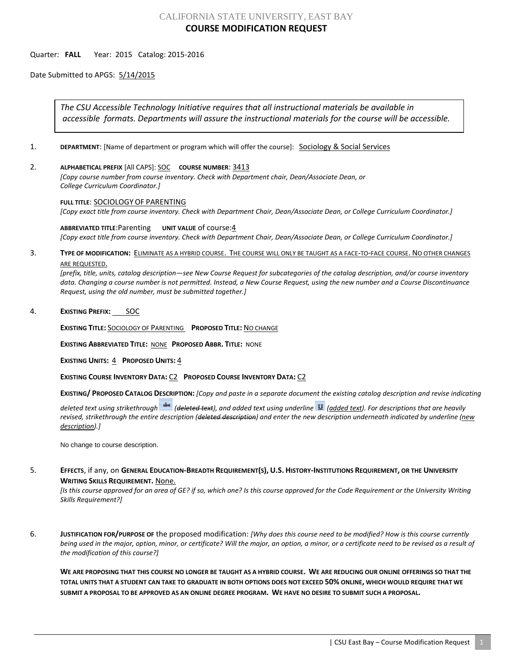# CALIFORNIA STATE UNIVERSITY, EAST BAY **COURSE MODIFICATION REQUEST**

#### Quarter: **FALL** Year: 2015 Catalog: 2015-2016

Date Submitted to APGS: 5/14/2015

*The CSU Accessible Technology Initiative requires that all instructional materials be available in accessible formats. Departments will assure the instructional materials for the course will be accessible.*

- 1. **DEPARTMENT:** [Name of department or program which will offer the course]: **Sociology & Social Services**
- 2. **ALPHABETICAL PREFIX** [All CAPS]: SOC **COURSE NUMBER**: 3413

*[Copy course number from course inventory. Check with Department chair, Dean/Associate Dean, or College Curriculum Coordinator.]* 

#### **FULL TITLE**: SOCIOLOGY OF PARENTING

*[Copy exact title from course inventory. Check with Department Chair, Dean/Associate Dean, or College Curriculum Coordinator.]*

#### **ABBREVIATED TITLE**:Parenting **UNIT VALUE** of course:4

*[Copy exact title from course inventory. Check with Department Chair, Dean/Associate Dean, or College Curriculum Coordinator.]*

## 3. **TYPE OF MODIFICATION:** ELIMINATE AS A HYBRID COURSE. THE COURSE WILL ONLY BE TAUGHT AS A FACE-TO-FACE COURSE. NO OTHER CHANGES ARE REQUESTED.

*[prefix, title, units, catalog description—see New Course Request for subcategories of the catalog description, and/or course inventory data. Changing a course number is not permitted. Instead, a New Course Request, using the new number and a Course Discontinuance Request, using the old number, must be submitted together.]*

#### 4. **EXISTING PREFIX:** SOC

**EXISTING TITLE:** SOCIOLOGY OF PARENTING **PROPOSED TITLE:** NO CHANGE

**EXISTING ABBREVIATED TITLE:** NONE **PROPOSED ABBR. TITLE:** NONE

**EXISTING UNITS:** 4 **PROPOSED UNITS:** 4

**EXISTING COURSE INVENTORY DATA:** C2 **PROPOSED COURSE INVENTORY DATA:** C2

**EXISTING/ PROPOSED CATALOG DESCRIPTION:** *[Copy and paste in a separate document the existing catalog description and revise indicating* 

*deleted text using strikethrough (deleted text), and added text using underline (added text). For descriptions that are heavily revised, strikethrough the entire description (deleted description) and enter the new description underneath indicated by underline (new description).]*

No change to course description.

## 5. **EFFECTS**, if any, on **GENERAL EDUCATION-BREADTH REQUIREMENT(S), U.S. HISTORY-INSTITUTIONS REQUIREMENT, OR THE UNIVERSITY WRITING SKILLS REQUIREMENT.** None.

*[Is this course approved for an area of GE? if so, which one? Is this course approved for the Code Requirement or the University Writing Skills Requirement?]*

6. **JUSTIFICATION FOR/PURPOSE OF** the proposed modification: *[Why does this course need to be modified? How is this course currently being used in the major, option, minor, or certificate? Will the major, an option, a minor, or a certificate need to be revised as a result of the modification of this course?]*

**WE ARE PROPOSING THAT THIS COURSE NO LONGER BE TAUGHT AS A HYBRID COURSE. WE ARE REDUCING OUR ONLINE OFFERINGS SO THAT THE TOTAL UNITS THAT A STUDENT CAN TAKE TO GRADUATE IN BOTH OPTIONS DOES NOT EXCEED 50% ONLINE, WHICH WOULD REQUIRE THAT WE SUBMIT A PROPOSAL TO BE APPROVED AS AN ONLINE DEGREE PROGRAM. WE HAVE NO DESIRE TO SUBMIT SUCH A PROPOSAL.**